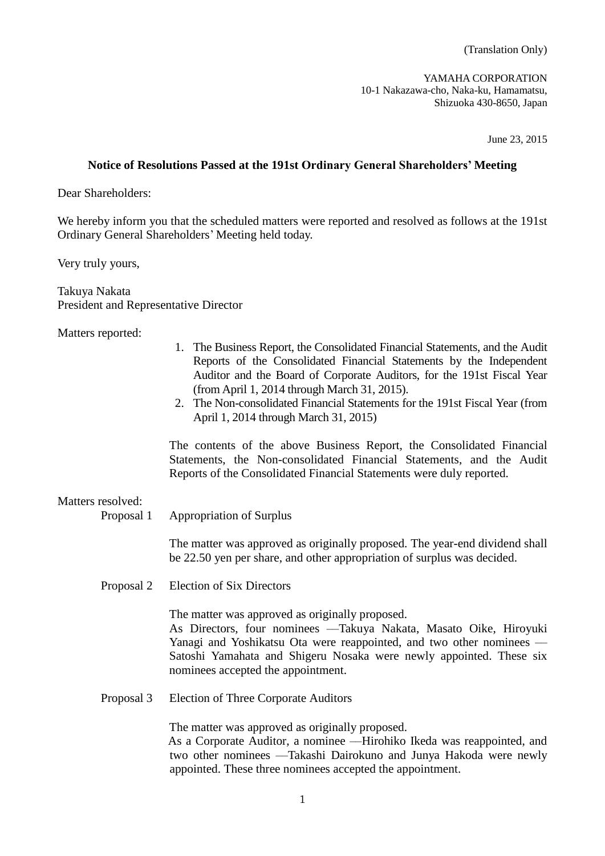(Translation Only)

YAMAHA CORPORATION 10-1 Nakazawa-cho, Naka-ku, Hamamatsu, Shizuoka 430-8650, Japan

June 23, 2015

# **Notice of Resolutions Passed at the 191st Ordinary General Shareholders' Meeting**

Dear Shareholders:

We hereby inform you that the scheduled matters were reported and resolved as follows at the 191st Ordinary General Shareholders' Meeting held today.

Very truly yours,

Takuya Nakata President and Representative Director

Matters reported:

- 1. The Business Report, the Consolidated Financial Statements, and the Audit Reports of the Consolidated Financial Statements by the Independent Auditor and the Board of Corporate Auditors, for the 191st Fiscal Year (from April 1, 2014 through March 31, 2015).
- 2. The Non-consolidated Financial Statements for the 191st Fiscal Year (from April 1, 2014 through March 31, 2015)

The contents of the above Business Report, the Consolidated Financial Statements, the Non-consolidated Financial Statements, and the Audit Reports of the Consolidated Financial Statements were duly reported.

## Matters resolved:

Proposal 1 Appropriation of Surplus

The matter was approved as originally proposed. The year-end dividend shall be 22.50 yen per share, and other appropriation of surplus was decided.

Proposal 2 Election of Six Directors

The matter was approved as originally proposed.

As Directors, four nominees ––Takuya Nakata, Masato Oike, Hiroyuki Yanagi and Yoshikatsu Ota were reappointed, and two other nominees — Satoshi Yamahata and Shigeru Nosaka were newly appointed. These six nominees accepted the appointment.

Proposal 3 Election of Three Corporate Auditors

The matter was approved as originally proposed.

As a Corporate Auditor, a nominee ––Hirohiko Ikeda was reappointed, and two other nominees ––Takashi Dairokuno and Junya Hakoda were newly appointed. These three nominees accepted the appointment.